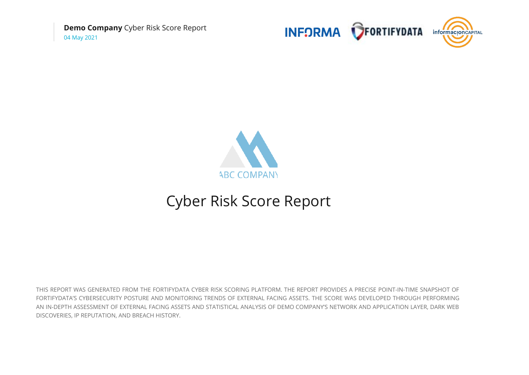**Demo Company** Cyber Risk Score Report 04 May 2021





# Cyber Risk Score Report

THIS REPORT WAS GENERATED FROM THE FORTIFYDATA CYBER RISK SCORING PLATFORM. THE REPORT PROVIDES A PRECISE POINT-IN-TIME SNAPSHOT OF FORTIFYDATA'S CYBERSECURITY POSTURE AND MONITORING TRENDS OF EXTERNAL FACING ASSETS. THE SCORE WAS DEVELOPED THROUGH PERFORMING AN IN-DEPTH ASSESSMENT OF EXTERNAL FACING ASSETS AND STATISTICAL ANALYSIS OF DEMO COMPANY'S NETWORK AND APPLICATION LAYER, DARK WEB DISCOVERIES, IP REPUTATION, AND BREACH HISTORY.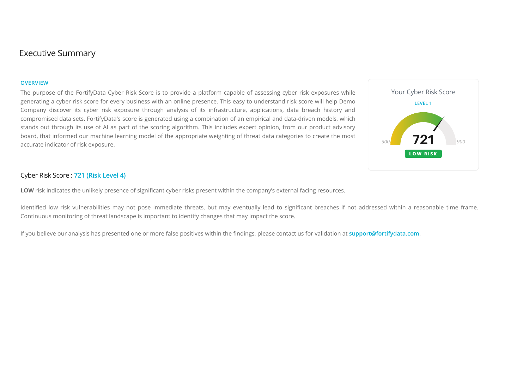# Executive Summary

#### **OVERVIEW**

The purpose of the FortifyData Cyber Risk Score is to provide a platform capable of assessing cyber risk exposures while generating a cyber risk score for every business with an online presence. This easy to understand risk score will help Demo Company discover its cyber risk exposure through analysis of its infrastructure, applications, data breach history and compromised data sets. FortifyData's score is generated using a combination of an empirical and data-driven models, which stands out through its use of AI as part of the scoring algorithm. This includes expert opinion, from our product advisory board, that informed our machine learning model of the appropriate weighting of threat data categories to create the most accurate indicator of risk exposure.



# Cyber Risk Score : **[721 \(Risk Level 4\)](https://demo.fortifydata.com/)**

LOW risk indicates the unlikely presence of significant cyber risks present within the company's external facing resources.

Identified low risk vulnerabilities may not pose immediate threats, but may eventually lead to significant breaches if not addressed within a reasonable time frame. Continuous monitoring of threat landscape is important to identify changes that may impact the score.

If you believe our analysis has presented one or more false positives within the findings, please contact us for validation at **support@fortifydata.com.**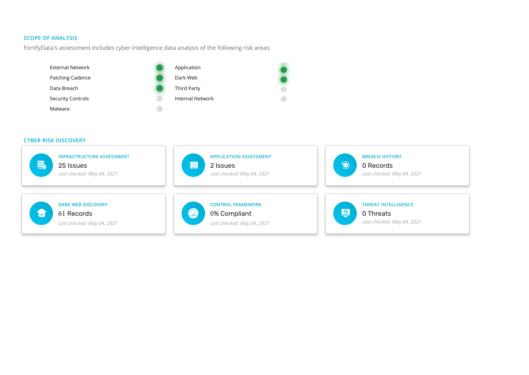# **SCOPE OF ANALYSIS**

FortifyData's assessment includes cyber intelligence data analysis of the following risk areas:



#### **CYBER RISK DISCOVERY**

| <b>INFRASTRUCTURE ASSESSMENT</b> | <b>APPLICATION ASSESSMENT</b> | <b>BREACH HISTORY</b>      |
|----------------------------------|-------------------------------|----------------------------|
| 最                                | $\sqrt{\frac{2}{2}}$          | $\textcircled{\textcirc}$  |
| 25 Issues                        | 2 Issues                      | 0 Records                  |
| Last checked: May 04, 2021       | Last checked: May 04, 2021    | Last checked: May 04, 2021 |
| <b>DARK WEB DISCOVERY</b>        | <b>CONTROL FRAMEWORK</b>      | <b>THREAT INTELLIGENCE</b> |
| $\overline{\mathbf{v}}$          | $\bullet$                     | 堡                          |
| 61 Records                       | 0% Compliant                  | 0 Threats                  |
| Last checked: May 04, 2021       | Last checked: May 04, 2021    | Last checked: May 04, 2021 |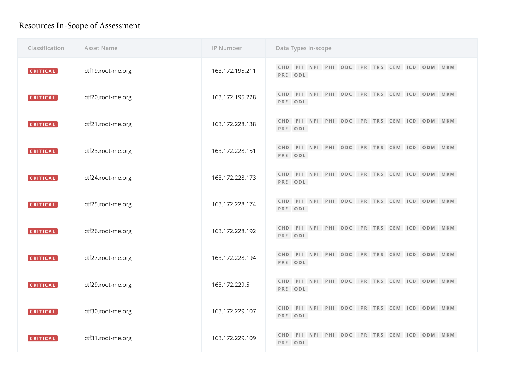# Resources In-Scope of Assessment

| Classification  | <b>Asset Name</b> | IP Number       | Data Types In-scope                                    |
|-----------------|-------------------|-----------------|--------------------------------------------------------|
| CRITICAL        | ctf19.root-me.org | 163.172.195.211 | CHD PII NPI PHI ODC IPR TRS CEM ICD ODM MKM<br>PRE ODL |
| CRITICAL        | ctf20.root-me.org | 163.172.195.228 | CHD PII NPI PHI ODC IPR TRS CEM ICD ODM MKM<br>PRE ODL |
| <b>CRITICAL</b> | ctf21.root-me.org | 163.172.228.138 | CHD PII NPI PHI ODC IPR TRS CEM ICD ODM MKM<br>PRE ODL |
| CRITICAL        | ctf23.root-me.org | 163.172.228.151 | CHD PII NPI PHI ODC IPR TRS CEM ICD ODM MKM<br>PRE ODL |
| CRITICAL        | ctf24.root-me.org | 163.172.228.173 | CHD PII NPI PHI ODC IPR TRS CEM ICD ODM MKM<br>PRE ODL |
| CRITICAL        | ctf25.root-me.org | 163.172.228.174 | CHD PII NPI PHI ODC IPR TRS CEM ICD ODM MKM<br>PRE ODL |
| CRITICAL        | ctf26.root-me.org | 163.172.228.192 | CHD PII NPI PHI ODC IPR TRS CEM ICD ODM MKM<br>PRE ODL |
| CRITICAL        | ctf27.root-me.org | 163.172.228.194 | CHD PII NPI PHI ODC IPR TRS CEM ICD ODM MKM<br>PRE ODL |
| CRITICAL        | ctf29.root-me.org | 163.172.229.5   | CHD PII NPI PHI ODC IPR TRS CEM ICD ODM MKM<br>PRE ODL |
| [CRITICAL]      | ctf30.root-me.org | 163.172.229.107 | CHD PII NPI PHI ODC IPR TRS CEM ICD ODM MKM<br>PRE ODL |
| CRITICAL        | ctf31.root-me.org | 163.172.229.109 | CHD PII NPI PHI ODC IPR TRS CEM ICD ODM MKM<br>PRE ODL |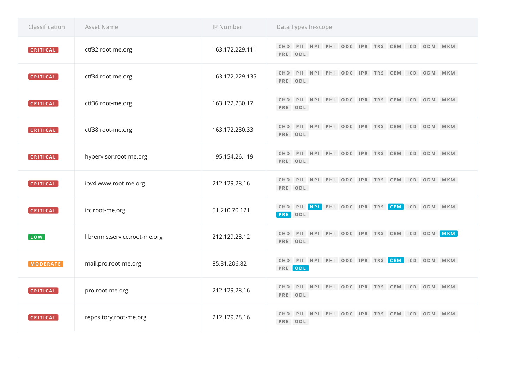| Classification        | <b>Asset Name</b>            | IP Number       | Data Types In-scope                                    |
|-----------------------|------------------------------|-----------------|--------------------------------------------------------|
| CRITICAL              | ctf32.root-me.org            | 163.172.229.111 | CHD PII NPI PHI ODC IPR TRS CEM ICD ODM MKM<br>PRE ODL |
| <b>CRITICAL</b>       | ctf34.root-me.org            | 163.172.229.135 | CHD PII NPI PHI ODC IPR TRS CEM ICD ODM MKM<br>PRE ODL |
| CRITICAL              | ctf36.root-me.org            | 163.172.230.17  | CHD PII NPI PHI ODC IPR TRS CEM ICD ODM MKM<br>PRE ODL |
| CRITICAL              | ctf38.root-me.org            | 163.172.230.33  | CHD PII NPI PHI ODC IPR TRS CEM ICD ODM MKM<br>PRE ODL |
| CRITICAL              | hypervisor.root-me.org       | 195.154.26.119  | CHD PII NPI PHI ODC IPR TRS CEM ICD ODM MKM<br>PRE ODL |
| CRITICAL              | ipv4.www.root-me.org         | 212.129.28.16   | CHD PII NPI PHI ODC IPR TRS CEM ICD ODM MKM<br>PRE ODL |
| CRITICAL              | irc.root-me.org              | 51.210.70.121   | CHD PII NPI PHI ODC IPR TRS CEM ICD ODM MKM<br>PRE ODL |
| $\lceil$ LOW $\rceil$ | librenms.service.root-me.org | 212.129.28.12   | CHD PII NPI PHI ODC IPR TRS CEM ICD ODM MKM<br>PRE ODL |
| MODERATE              | mail.pro.root-me.org         | 85.31.206.82    | CHD PII NPI PHI ODC IPR TRS CEM ICD ODM MKM<br>PRE ODL |
| CRITICAL              | pro.root-me.org              | 212.129.28.16   | CHD PII NPI PHI ODC IPR TRS CEM ICD ODM MKM<br>PRE ODL |
| <b>CRITICAL</b>       | repository.root-me.org       | 212.129.28.16   | CHD PII NPI PHI ODC IPR TRS CEM ICD ODM MKM<br>PRE ODL |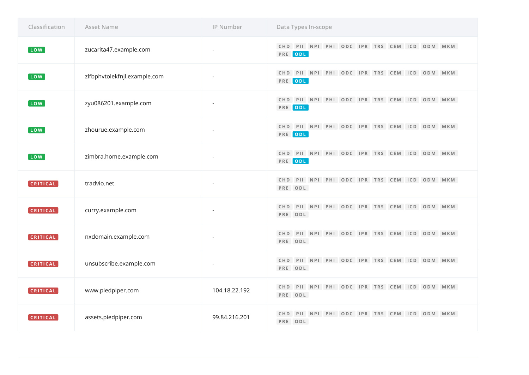| Classification | <b>Asset Name</b>            | IP Number      | Data Types In-scope                                    |
|----------------|------------------------------|----------------|--------------------------------------------------------|
| LOW            | zucarita47.example.com       | $\overline{a}$ | CHD PII NPI PHI ODC IPR TRS CEM ICD ODM MKM<br>PRE ODL |
| LOW            | zlfbphvtolekfnjl.example.com |                | CHD PII NPI PHI ODC IPR TRS CEM ICD ODM MKM<br>PRE ODL |
| LOW            | zyu086201.example.com        |                | CHD PII NPI PHI ODC IPR TRS CEM ICD ODM MKM<br>PRE ODL |
| LOW            | zhourue.example.com          |                | CHD PII NPI PHI ODC IPR TRS CEM ICD ODM MKM<br>PRE ODL |
| LOW            | zimbra.home.example.com      |                | CHD PII NPI PHI ODC IPR TRS CEM ICD ODM MKM<br>PRE ODL |
| CRITICAL       | tradvio.net                  | $\overline{a}$ | CHD PII NPI PHI ODC IPR TRS CEM ICD ODM MKM<br>PRE ODL |
| CRITICAL       | curry.example.com            |                | CHD PII NPI PHI ODC IPR TRS CEM ICD ODM MKM<br>PRE ODL |
| CRITICAL       | nxdomain.example.com         |                | CHD PII NPI PHI ODC IPR TRS CEM ICD ODM MKM<br>PRE ODL |
| CRITICAL       | unsubscribe.example.com      |                | CHD PII NPI PHI ODC IPR TRS CEM ICD ODM MKM<br>PRE ODL |
| CRITICAL       | www.piedpiper.com            | 104.18.22.192  | CHD PII NPI PHI ODC IPR TRS CEM ICD ODM MKM<br>PRE ODL |
| CRITICAL       | assets.piedpiper.com         | 99.84.216.201  | CHD PII NPI PHI ODC IPR TRS CEM ICD ODM MKM<br>PRE ODL |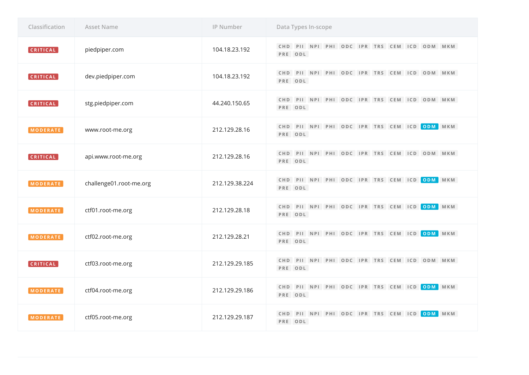| Classification  | <b>Asset Name</b>       | IP Number      | Data Types In-scope                                    |
|-----------------|-------------------------|----------------|--------------------------------------------------------|
| <b>CRITICAL</b> | piedpiper.com           | 104.18.23.192  | CHD PII NPI PHI ODC IPR TRS CEM ICD ODM MKM<br>PRE ODL |
| <b>CRITICAL</b> | dev.piedpiper.com       | 104.18.23.192  | CHD PII NPI PHI ODC IPR TRS CEM ICD ODM MKM<br>PRE ODL |
| CRITICAL        | stg.piedpiper.com       | 44.240.150.65  | CHD PII NPI PHI ODC IPR TRS CEM ICD ODM MKM<br>PRE ODL |
| MODERATE        | www.root-me.org         | 212.129.28.16  | CHD PII NPI PHI ODC IPR TRS CEM ICD ODM MKM<br>PRE ODL |
| CRITICAL        | api.www.root-me.org     | 212.129.28.16  | CHD PII NPI PHI ODC IPR TRS CEM ICD ODM MKM<br>PRE ODL |
| MODERATE        | challenge01.root-me.org | 212.129.38.224 | CHD PII NPI PHI ODC IPR TRS CEM ICD ODM MKM<br>PRE ODL |
| MODERATE        | ctf01.root-me.org       | 212.129.28.18  | CHD PII NPI PHI ODC IPR TRS CEM ICD ODM MKM<br>PRE ODL |
| MODERATE        | ctf02.root-me.org       | 212.129.28.21  | CHD PII NPI PHI ODC IPR TRS CEM ICD ODM MKM<br>PRE ODL |
| CRITICAL        | ctf03.root-me.org       | 212.129.29.185 | CHD PII NPI PHI ODC IPR TRS CEM ICD ODM MKM<br>PRE ODL |
| <b>MODERATE</b> | ctf04.root-me.org       | 212.129.29.186 | CHD PII NPI PHI ODC IPR TRS CEM ICD ODM MKM<br>PRE ODL |
| MODERATE        | ctf05.root-me.org       | 212.129.29.187 | CHD PII NPI PHI ODC IPR TRS CEM ICD ODM MKM<br>PRE ODL |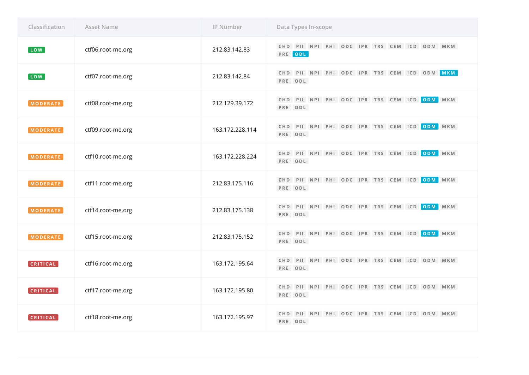| Classification  | <b>Asset Name</b> | IP Number       | Data Types In-scope                                    |
|-----------------|-------------------|-----------------|--------------------------------------------------------|
| LOW             | ctf06.root-me.org | 212.83.142.83   | CHD PII NPI PHI ODC IPR TRS CEM ICD ODM MKM<br>PRE ODL |
| LOW             | ctf07.root-me.org | 212.83.142.84   | CHD PII NPI PHI ODC IPR TRS CEM ICD ODM MKM<br>PRE ODL |
| MODERATE        | ctf08.root-me.org | 212.129.39.172  | CHD PII NPI PHI ODC IPR TRS CEM ICD ODM MKM<br>PRE ODL |
| MODERATE        | ctf09.root-me.org | 163.172.228.114 | CHD PII NPI PHI ODC IPR TRS CEM ICD ODM MKM<br>PRE ODL |
| <b>MODERATE</b> | ctf10.root-me.org | 163.172.228.224 | CHD PII NPI PHI ODC IPR TRS CEM ICD ODM MKM<br>PRE ODL |
| <b>MODERATE</b> | ctf11.root-me.org | 212.83.175.116  | CHD PII NPI PHI ODC IPR TRS CEM ICD ODM MKM<br>PRE ODL |
| <b>MODERATE</b> | ctf14.root-me.org | 212.83.175.138  | CHD PII NPI PHI ODC IPR TRS CEM ICD ODM MKM<br>PRE ODL |
| <b>MODERATE</b> | ctf15.root-me.org | 212.83.175.152  | CHD PII NPI PHI ODC IPR TRS CEM ICD ODM MKM<br>PRE ODL |
| CRITICAL        | ctf16.root-me.org | 163.172.195.64  | CHD PII NPI PHI ODC IPR TRS CEM ICD ODM MKM<br>PRE ODL |
| CRITICAL        | ctf17.root-me.org | 163.172.195.80  | CHD PII NPI PHI ODC IPR TRS CEM ICD ODM MKM<br>PRE ODL |
| CRITICAL        | ctf18.root-me.org | 163.172.195.97  | CHD PII NPI PHI ODC IPR TRS CEM ICD ODM MKM<br>PRE ODL |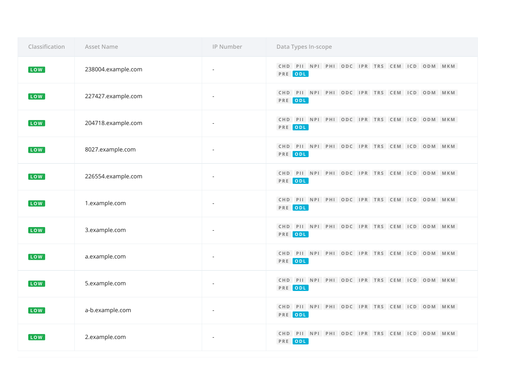| Classification        | <b>Asset Name</b>  | IP Number                | Data Types In-scope                                    |
|-----------------------|--------------------|--------------------------|--------------------------------------------------------|
| LOW                   | 238004.example.com |                          | CHD PII NPI PHI ODC IPR TRS CEM ICD ODM MKM<br>PRE ODL |
| <b>LOW</b>            | 227427.example.com | $\overline{\phantom{a}}$ | CHD PII NPI PHI ODC IPR TRS CEM ICD ODM MKM<br>PRE ODL |
| LOW                   | 204718.example.com |                          | CHD PII NPI PHI ODC IPR TRS CEM ICD ODM MKM<br>PRE ODL |
| LOW                   | 8027.example.com   |                          | CHD PII NPI PHI ODC IPR TRS CEM ICD ODM MKM<br>PRE ODL |
| LOW <sup>]</sup>      | 226554.example.com |                          | CHD PII NPI PHI ODC IPR TRS CEM ICD ODM MKM<br>PRE ODL |
| $\lceil$ LOW $\rceil$ | 1.example.com      | $\overline{\phantom{a}}$ | CHD PII NPI PHI ODC IPR TRS CEM ICD ODM MKM<br>PRE ODL |
| LOW <sup>]</sup>      | 3.example.com      |                          | CHD PII NPI PHI ODC IPR TRS CEM ICD ODM MKM<br>PRE ODL |
| <b>LOW</b>            | a.example.com      |                          | CHD PII NPI PHI ODC IPR TRS CEM ICD ODM MKM<br>PRE ODL |
| LOW                   | 5.example.com      |                          | CHD PII NPI PHI ODC IPR TRS CEM ICD ODM MKM<br>PRE ODL |
| LOW                   | a-b.example.com    |                          | CHD PII NPI PHI ODC IPR TRS CEM ICD ODM MKM<br>PRE ODL |
| LOW                   | 2.example.com      | $\overline{\phantom{a}}$ | CHD PII NPI PHI ODC IPR TRS CEM ICD ODM MKM<br>PRE ODL |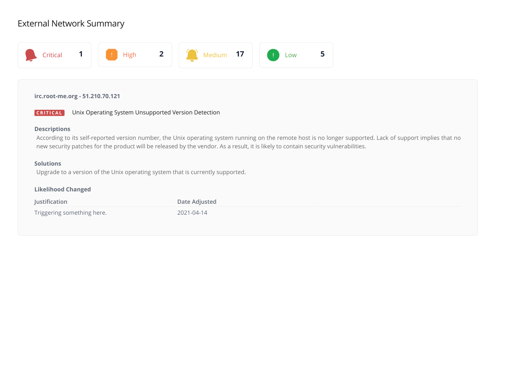# External Network Summary



# **irc.root-me.org - 51.210.70.121**



# **Descriptions**

According to its self-reported version number, the Unix operating system running on the remote host is no longer supported. Lack of support implies that no new security patches for the product will be released by the vendor. As a result, it is likely to contain security vulnerabilities.

# **Solutions**

Upgrade to a version of the Unix operating system that is currently supported.

# **Likelihood Changed**

| Justification              | Date Adjusted |  |
|----------------------------|---------------|--|
| Triggering something here. | 2021-04-14    |  |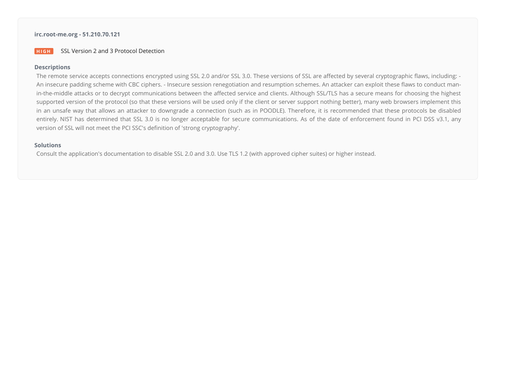# **irc.root-me.org - 51.210.70.121**

#### **HIGH** SSL Version 2 and 3 Protocol Detection

#### **Descriptions**

The remote service accepts connections encrypted using SSL 2.0 and/or SSL 3.0. These versions of SSL are affected by several cryptographic flaws, including: -An insecure padding scheme with CBC ciphers. - Insecure session renegotiation and resumption schemes. An attacker can exploit these flaws to conduct manin-the-middle attacks or to decrypt communications between the affected service and clients. Although SSL/TLS has a secure means for choosing the highest supported version of the protocol (so that these versions will be used only if the client or server support nothing better), many web browsers implement this in an unsafe way that allows an attacker to downgrade a connection (such as in POODLE). Therefore, it is recommended that these protocols be disabled entirely. NIST has determined that SSL 3.0 is no longer acceptable for secure communications. As of the date of enforcement found in PCI DSS v3.1, any version of SSL will not meet the PCI SSC's definition of 'strong cryptography'.

# **Solutions**

Consult the application's documentation to disable SSL 2.0 and 3.0. Use TLS 1.2 (with approved cipher suites) or higher instead.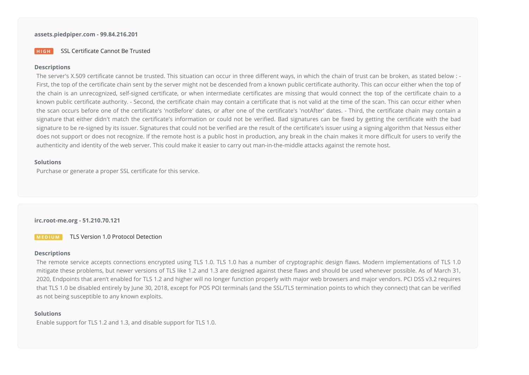# **assets.piedpiper.com - 99.84.216.201**

#### **HIGH** SSL Certificate Cannot Be Trusted

#### **Descriptions**

The server's X.509 certificate cannot be trusted. This situation can occur in three different ways, in which the chain of trust can be broken, as stated below : -First, the top of the certificate chain sent by the server might not be descended from a known public certificate authority. This can occur either when the top of the chain is an unrecognized, self-signed certificate, or when intermediate certificates are missing that would connect the top of the certificate chain to a known public certificate authority. - Second, the certificate chain may contain a certificate that is not valid at the time of the scan. This can occur either when the scan occurs before one of the certificate's 'notBefore' dates, or after one of the certificate's 'notAfter' dates. - Third, the certificate chain may contain a signature that either didn't match the certificate's information or could not be verified. Bad signatures can be fixed by getting the certificate with the bad signature to be re-signed by its issuer. Signatures that could not be verified are the result of the certificate's issuer using a signing algorithm that Nessus either does not support or does not recognize. If the remote host is a public host in production, any break in the chain makes it more difficult for users to verify the authenticity and identity of the web server. This could make it easier to carry out man-in-the-middle attacks against the remote host.

# **Solutions**

Purchase or generate a proper SSL certificate for this service.

### **irc.root-me.org - 51.210.70.121**

**MEDIUM** TLS Version 1.0 Protocol Detection

### **Descriptions**

The remote service accepts connections encrypted using TLS 1.0. TLS 1.0 has a number of cryptographic design flaws. Modern implementations of TLS 1.0 mitigate these problems, but newer versions of TLS like 1.2 and 1.3 are designed against these flaws and should be used whenever possible. As of March 31, 2020, Endpoints that aren't enabled for TLS 1.2 and higher will no longer function properly with major web browsers and major vendors. PCI DSS v3.2 requires that TLS 1.0 be disabled entirely by June 30, 2018, except for POS POI terminals (and the SSL/TLS termination points to which they connect) that can be veried as not being susceptible to any known exploits.

#### **Solutions**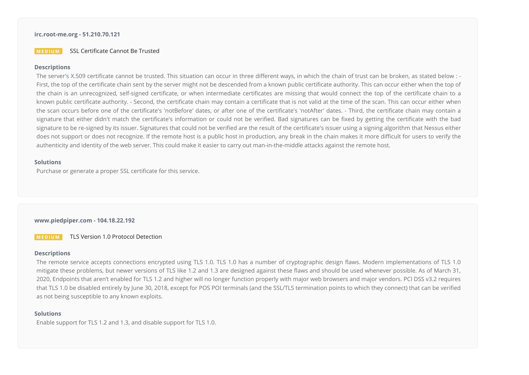### **irc.root-me.org - 51.210.70.121**

#### **MEDIUM** SSL Certificate Cannot Be Trusted

#### **Descriptions**

The server's X.509 certificate cannot be trusted. This situation can occur in three different ways, in which the chain of trust can be broken, as stated below : -First, the top of the certificate chain sent by the server might not be descended from a known public certificate authority. This can occur either when the top of the chain is an unrecognized, self-signed certificate, or when intermediate certificates are missing that would connect the top of the certificate chain to a known public certificate authority. - Second, the certificate chain may contain a certificate that is not valid at the time of the scan. This can occur either when the scan occurs before one of the certificate's 'notBefore' dates, or after one of the certificate's 'notAfter' dates. - Third, the certificate chain may contain a signature that either didn't match the certificate's information or could not be verified. Bad signatures can be fixed by getting the certificate with the bad signature to be re-signed by its issuer. Signatures that could not be verified are the result of the certificate's issuer using a signing algorithm that Nessus either does not support or does not recognize. If the remote host is a public host in production, any break in the chain makes it more difficult for users to verify the authenticity and identity of the web server. This could make it easier to carry out man-in-the-middle attacks against the remote host.

# **Solutions**

Purchase or generate a proper SSL certificate for this service.

### **www.piedpiper.com - 104.18.22.192**

**MEDIUM** TLS Version 1.0 Protocol Detection

### **Descriptions**

The remote service accepts connections encrypted using TLS 1.0. TLS 1.0 has a number of cryptographic design flaws. Modern implementations of TLS 1.0 mitigate these problems, but newer versions of TLS like 1.2 and 1.3 are designed against these flaws and should be used whenever possible. As of March 31, 2020, Endpoints that aren't enabled for TLS 1.2 and higher will no longer function properly with major web browsers and major vendors. PCI DSS v3.2 requires that TLS 1.0 be disabled entirely by June 30, 2018, except for POS POI terminals (and the SSL/TLS termination points to which they connect) that can be veried as not being susceptible to any known exploits.

### **Solutions**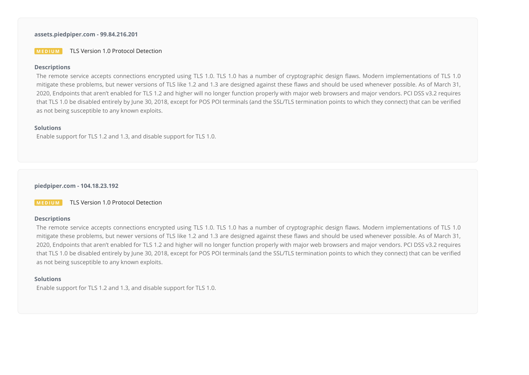# **assets.piedpiper.com - 99.84.216.201**

**MEDIUM** TLS Version 1.0 Protocol Detection

#### **Descriptions**

The remote service accepts connections encrypted using TLS 1.0. TLS 1.0 has a number of cryptographic design flaws. Modern implementations of TLS 1.0 mitigate these problems, but newer versions of TLS like 1.2 and 1.3 are designed against these flaws and should be used whenever possible. As of March 31, 2020, Endpoints that aren't enabled for TLS 1.2 and higher will no longer function properly with major web browsers and major vendors. PCI DSS v3.2 requires that TLS 1.0 be disabled entirely by June 30, 2018, except for POS POI terminals (and the SSL/TLS termination points to which they connect) that can be verified as not being susceptible to any known exploits.

#### **Solutions**

Enable support for TLS 1.2 and 1.3, and disable support for TLS 1.0.

**piedpiper.com - 104.18.23.192**

**MEDIUM** TLS Version 1.0 Protocol Detection

#### **Descriptions**

The remote service accepts connections encrypted using TLS 1.0. TLS 1.0 has a number of cryptographic design flaws. Modern implementations of TLS 1.0 mitigate these problems, but newer versions of TLS like 1.2 and 1.3 are designed against these flaws and should be used whenever possible. As of March 31, 2020, Endpoints that aren't enabled for TLS 1.2 and higher will no longer function properly with major web browsers and major vendors. PCI DSS v3.2 requires that TLS 1.0 be disabled entirely by June 30, 2018, except for POS POI terminals (and the SSL/TLS termination points to which they connect) that can be verified as not being susceptible to any known exploits.

# **Solutions**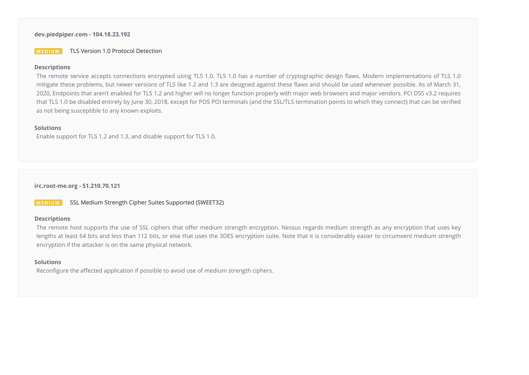# **dev.piedpiper.com - 104.18.23.192**

**MEDIUM** TLS Version 1.0 Protocol Detection

#### **Descriptions**

The remote service accepts connections encrypted using TLS 1.0. TLS 1.0 has a number of cryptographic design flaws. Modern implementations of TLS 1.0 mitigate these problems, but newer versions of TLS like 1.2 and 1.3 are designed against these flaws and should be used whenever possible. As of March 31, 2020, Endpoints that aren't enabled for TLS 1.2 and higher will no longer function properly with major web browsers and major vendors. PCI DSS v3.2 requires that TLS 1.0 be disabled entirely by June 30, 2018, except for POS POI terminals (and the SSL/TLS termination points to which they connect) that can be verified as not being susceptible to any known exploits.

#### **Solutions**

Enable support for TLS 1.2 and 1.3, and disable support for TLS 1.0.

# **irc.root-me.org - 51.210.70.121**

**MEDIUM** SSL Medium Strength Cipher Suites Supported (SWEET32)

#### **Descriptions**

The remote host supports the use of SSL ciphers that offer medium strength encryption. Nessus regards medium strength as any encryption that uses key lengths at least 64 bits and less than 112 bits, or else that uses the 3DES encryption suite. Note that it is considerably easier to circumvent medium strength encryption if the attacker is on the same physical network.

#### **Solutions**

Reconfigure the affected application if possible to avoid use of medium strength ciphers.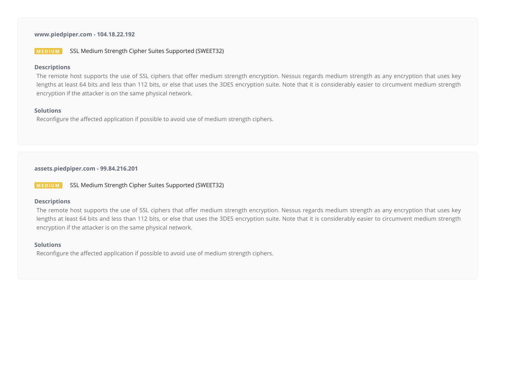# **www.piedpiper.com - 104.18.22.192**

# **MEDIUM** SSL Medium Strength Cipher Suites Supported (SWEET32)

### **Descriptions**

The remote host supports the use of SSL ciphers that offer medium strength encryption. Nessus regards medium strength as any encryption that uses key lengths at least 64 bits and less than 112 bits, or else that uses the 3DES encryption suite. Note that it is considerably easier to circumvent medium strength encryption if the attacker is on the same physical network.

## **Solutions**

Reconfigure the affected application if possible to avoid use of medium strength ciphers.

**assets.piedpiper.com - 99.84.216.201**

**MEDIUM** SSL Medium Strength Cipher Suites Supported (SWEET32)

# **Descriptions**

The remote host supports the use of SSL ciphers that offer medium strength encryption. Nessus regards medium strength as any encryption that uses key lengths at least 64 bits and less than 112 bits, or else that uses the 3DES encryption suite. Note that it is considerably easier to circumvent medium strength encryption if the attacker is on the same physical network.

#### **Solutions**

Reconfigure the affected application if possible to avoid use of medium strength ciphers.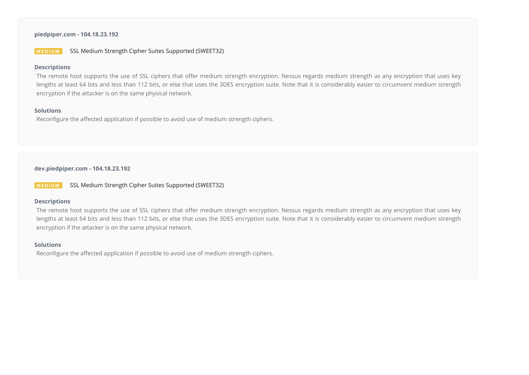# **piedpiper.com - 104.18.23.192**

# **MEDIUM** SSL Medium Strength Cipher Suites Supported (SWEET32)

#### **Descriptions**

The remote host supports the use of SSL ciphers that offer medium strength encryption. Nessus regards medium strength as any encryption that uses key lengths at least 64 bits and less than 112 bits, or else that uses the 3DES encryption suite. Note that it is considerably easier to circumvent medium strength encryption if the attacker is on the same physical network.

## **Solutions**

Reconfigure the affected application if possible to avoid use of medium strength ciphers.

**dev.piedpiper.com - 104.18.23.192**

**MEDIUM** SSL Medium Strength Cipher Suites Supported (SWEET32)

# **Descriptions**

The remote host supports the use of SSL ciphers that offer medium strength encryption. Nessus regards medium strength as any encryption that uses key lengths at least 64 bits and less than 112 bits, or else that uses the 3DES encryption suite. Note that it is considerably easier to circumvent medium strength encryption if the attacker is on the same physical network.

#### **Solutions**

Reconfigure the affected application if possible to avoid use of medium strength ciphers.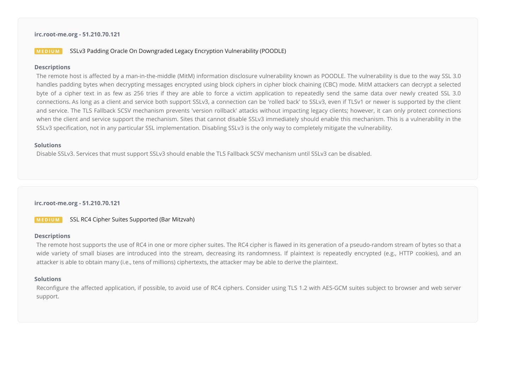### **irc.root-me.org - 51.210.70.121**

# **MEDIUM** SSLv3 Padding Oracle On Downgraded Legacy Encryption Vulnerability (POODLE)

#### **Descriptions**

The remote host is affected by a man-in-the-middle (MitM) information disclosure vulnerability known as POODLE. The vulnerability is due to the way SSL 3.0 handles padding bytes when decrypting messages encrypted using block ciphers in cipher block chaining (CBC) mode. MitM attackers can decrypt a selected byte of a cipher text in as few as 256 tries if they are able to force a victim application to repeatedly send the same data over newly created SSL 3.0 connections. As long as a client and service both support SSLv3, a connection can be 'rolled back' to SSLv3, even if TLSv1 or newer is supported by the client and service. The TLS Fallback SCSV mechanism prevents 'version rollback' attacks without impacting legacy clients; however, it can only protect connections when the client and service support the mechanism. Sites that cannot disable SSLv3 immediately should enable this mechanism. This is a vulnerability in the SSLv3 specification, not in any particular SSL implementation. Disabling SSLv3 is the only way to completely mitigate the vulnerability.

# **Solutions**

Disable SSLv3. Services that must support SSLv3 should enable the TLS Fallback SCSV mechanism until SSLv3 can be disabled.

#### **irc.root-me.org - 51.210.70.121**

**MEDIUM** SSL RC4 Cipher Suites Supported (Bar Mitzvah)

#### **Descriptions**

The remote host supports the use of RC4 in one or more cipher suites. The RC4 cipher is flawed in its generation of a pseudo-random stream of bytes so that a wide variety of small biases are introduced into the stream, decreasing its randomness. If plaintext is repeatedly encrypted (e.g., HTTP cookies), and an attacker is able to obtain many (i.e., tens of millions) ciphertexts, the attacker may be able to derive the plaintext.

# **Solutions**

Reconfigure the affected application, if possible, to avoid use of RC4 ciphers. Consider using TLS 1.2 with AES-GCM suites subject to browser and web server support.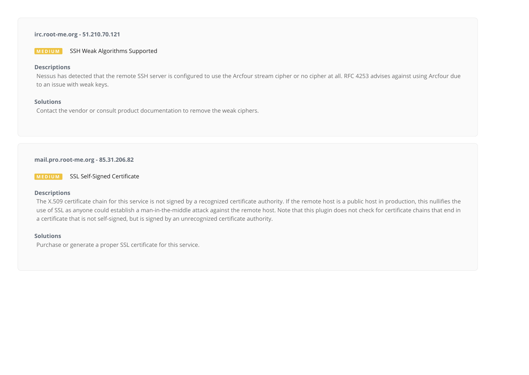# **irc.root-me.org - 51.210.70.121**

**MEDIUM** SSH Weak Algorithms Supported

# **Descriptions**

Nessus has detected that the remote SSH server is configured to use the Arcfour stream cipher or no cipher at all. RFC 4253 advises against using Arcfour due to an issue with weak keys.

### **Solutions**

Contact the vendor or consult product documentation to remove the weak ciphers.

## **mail.pro.root-me.org - 85.31.206.82**

**MEDIUM** SSL Self-Signed Certificate

# **Descriptions**

The X.509 certificate chain for this service is not signed by a recognized certificate authority. If the remote host is a public host in production, this nullifies the use of SSL as anyone could establish a man-in-the-middle attack against the remote host. Note that this plugin does not check for certificate chains that end in a certificate that is not self-signed, but is signed by an unrecognized certificate authority.

# **Solutions**

Purchase or generate a proper SSL certificate for this service.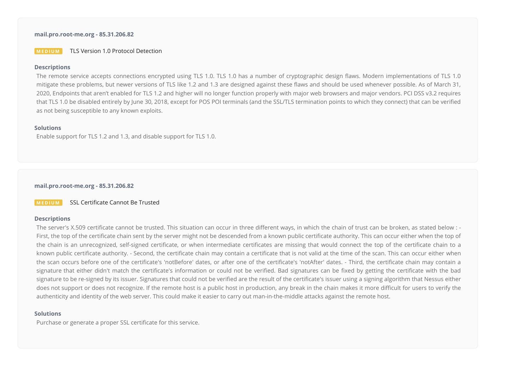#### **mail.pro.root-me.org - 85.31.206.82**

**MEDIUM** TLS Version 1.0 Protocol Detection

#### **Descriptions**

The remote service accepts connections encrypted using TLS 1.0. TLS 1.0 has a number of cryptographic design flaws. Modern implementations of TLS 1.0 mitigate these problems, but newer versions of TLS like 1.2 and 1.3 are designed against these flaws and should be used whenever possible. As of March 31, 2020, Endpoints that aren't enabled for TLS 1.2 and higher will no longer function properly with major web browsers and major vendors. PCI DSS v3.2 requires that TLS 1.0 be disabled entirely by June 30, 2018, except for POS POI terminals (and the SSL/TLS termination points to which they connect) that can be veried as not being susceptible to any known exploits.

#### **Solutions**

Enable support for TLS 1.2 and 1.3, and disable support for TLS 1.0.

**mail.pro.root-me.org - 85.31.206.82**

**MEDIUM** SSL Certificate Cannot Be Trusted

#### **Descriptions**

The server's X.509 certificate cannot be trusted. This situation can occur in three different ways, in which the chain of trust can be broken, as stated below : -First, the top of the certificate chain sent by the server might not be descended from a known public certificate authority. This can occur either when the top of the chain is an unrecognized, self-signed certificate, or when intermediate certificates are missing that would connect the top of the certificate chain to a known public certificate authority. - Second, the certificate chain may contain a certificate that is not valid at the time of the scan. This can occur either when the scan occurs before one of the certificate's 'notBefore' dates, or after one of the certificate's 'notAfter' dates. - Third, the certificate chain may contain a signature that either didn't match the certificate's information or could not be verified. Bad signatures can be fixed by getting the certificate with the bad signature to be re-signed by its issuer. Signatures that could not be verified are the result of the certificate's issuer using a signing algorithm that Nessus either does not support or does not recognize. If the remote host is a public host in production, any break in the chain makes it more difficult for users to verify the authenticity and identity of the web server. This could make it easier to carry out man-in-the-middle attacks against the remote host.

#### **Solutions**

Purchase or generate a proper SSL certificate for this service.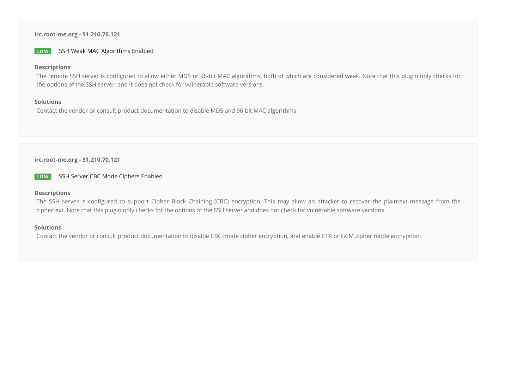# **irc.root-me.org - 51.210.70.121**

**LOW** SSH Weak MAC Algorithms Enabled

#### **Descriptions**

The remote SSH server is configured to allow either MD5 or 96-bit MAC algorithms, both of which are considered weak. Note that this plugin only checks for the options of the SSH server, and it does not check for vulnerable software versions.

#### **Solutions**

Contact the vendor or consult product documentation to disable MD5 and 96-bit MAC algorithms.

# **irc.root-me.org - 51.210.70.121**

**LOW** SSH Server CBC Mode Ciphers Enabled

# **Descriptions**

The SSH server is configured to support Cipher Block Chaining (CBC) encryption. This may allow an attacker to recover the plaintext message from the ciphertext. Note that this plugin only checks for the options of the SSH server and does not check for vulnerable software versions.

#### **Solutions**

Contact the vendor or consult product documentation to disable CBC mode cipher encryption, and enable CTR or GCM cipher mode encryption.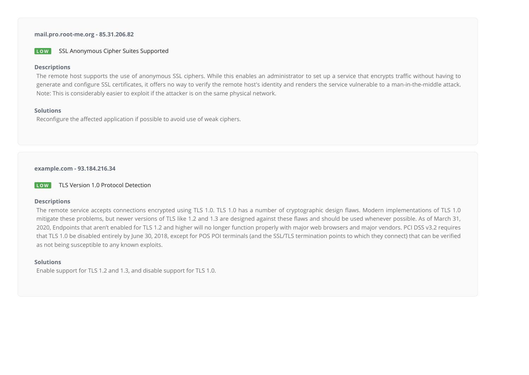**mail.pro.root-me.org - 85.31.206.82**

**LOW** SSL Anonymous Cipher Suites Supported

#### **Descriptions**

The remote host supports the use of anonymous SSL ciphers. While this enables an administrator to set up a service that encrypts traffic without having to generate and configure SSL certificates, it offers no way to verify the remote host's identity and renders the service vulnerable to a man-in-the-middle attack. Note: This is considerably easier to exploit if the attacker is on the same physical network.

### **Solutions**

Reconfigure the affected application if possible to avoid use of weak ciphers.

#### **example.com - 93.184.216.34**

**LOW** TLS Version 1.0 Protocol Detection

### **Descriptions**

The remote service accepts connections encrypted using TLS 1.0. TLS 1.0 has a number of cryptographic design flaws. Modern implementations of TLS 1.0 mitigate these problems, but newer versions of TLS like 1.2 and 1.3 are designed against these flaws and should be used whenever possible. As of March 31, 2020, Endpoints that aren't enabled for TLS 1.2 and higher will no longer function properly with major web browsers and major vendors. PCI DSS v3.2 requires that TLS 1.0 be disabled entirely by June 30, 2018, except for POS POI terminals (and the SSL/TLS termination points to which they connect) that can be verified as not being susceptible to any known exploits.

# **Solutions**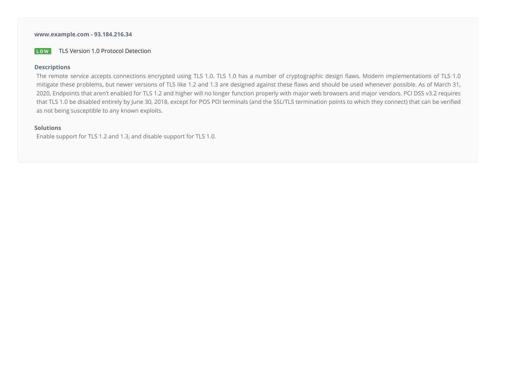# **www.example.com - 93.184.216.34**

**LOW** TLS Version 1.0 Protocol Detection

# **Descriptions**

The remote service accepts connections encrypted using TLS 1.0. TLS 1.0 has a number of cryptographic design flaws. Modern implementations of TLS 1.0 mitigate these problems, but newer versions of TLS like 1.2 and 1.3 are designed against these flaws and should be used whenever possible. As of March 31, 2020, Endpoints that aren't enabled for TLS 1.2 and higher will no longer function properly with major web browsers and major vendors. PCI DSS v3.2 requires that TLS 1.0 be disabled entirely by June 30, 2018, except for POS POI terminals (and the SSL/TLS termination points to which they connect) that can be verified as not being susceptible to any known exploits.

# **Solutions**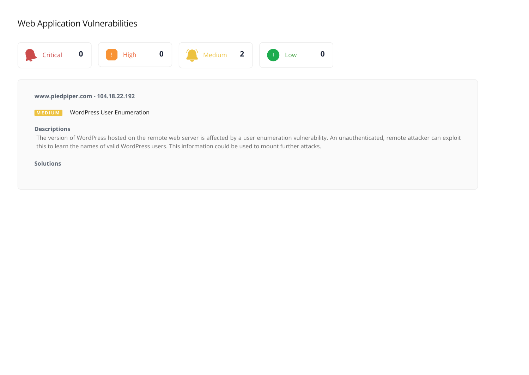# Web Application Vulnerabilities



# **www.piedpiper.com - 104.18.22.192**

**MEDIUM** WordPress User Enumeration

# **Descriptions**

The version of WordPress hosted on the remote web server is affected by a user enumeration vulnerability. An unauthenticated, remote attacker can exploit this to learn the names of valid WordPress users. This information could be used to mount further attacks.

# **Solutions**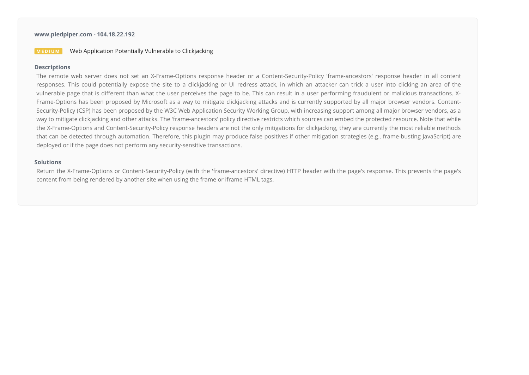# **www.piedpiper.com - 104.18.22.192**

# **MED I UM MED IVE Application Potentially Vulnerable to Clickiacking**

#### **Descriptions**

The remote web server does not set an X-Frame-Options response header or a Content-Security-Policy 'frame-ancestors' response header in all content responses. This could potentially expose the site to a clickjacking or UI redress attack, in which an attacker can trick a user into clicking an area of the vulnerable page that is different than what the user perceives the page to be. This can result in a user performing fraudulent or malicious transactions. X-Frame-Options has been proposed by Microsoft as a way to mitigate clickjacking attacks and is currently supported by all major browser vendors. Content-Security-Policy (CSP) has been proposed by the W3C Web Application Security Working Group, with increasing support among all major browser vendors, as a way to mitigate clickjacking and other attacks. The 'frame-ancestors' policy directive restricts which sources can embed the protected resource. Note that while the X-Frame-Options and Content-Security-Policy response headers are not the only mitigations for clickjacking, they are currently the most reliable methods that can be detected through automation. Therefore, this plugin may produce false positives if other mitigation strategies (e.g., frame-busting JavaScript) are deployed or if the page does not perform any security-sensitive transactions.

# **Solutions**

Return the X-Frame-Options or Content-Security-Policy (with the 'frame-ancestors' directive) HTTP header with the page's response. This prevents the page's content from being rendered by another site when using the frame or iframe HTML tags.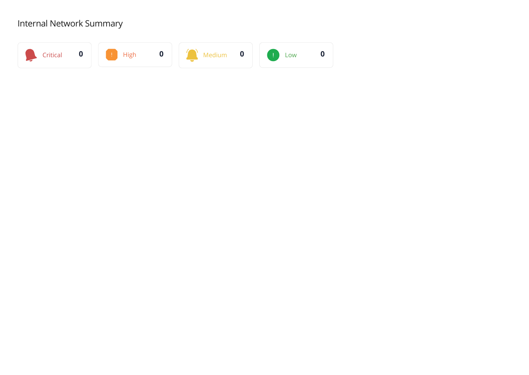# Internal Network Summary

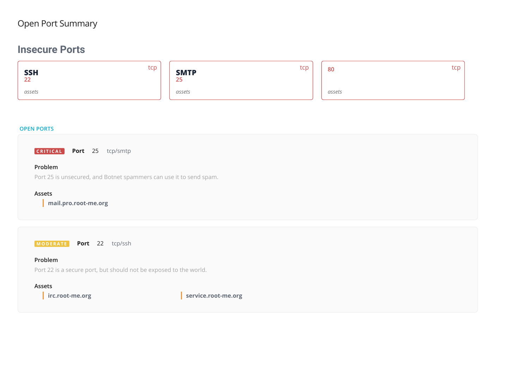# Open Port Summary

# **Insecure Ports**

| tcp<br>SSH<br>22 | tcp<br><b>SMTP</b><br>25 | 80     | tcp I |
|------------------|--------------------------|--------|-------|
| assets           | assets                   | assets |       |

#### **OPEN PORTS**

**CRITICAL Port** 25 tcp/smtp

# **Problem**

Port 25 is unsecured, and Botnet spammers can use it to send spam.

# **Assets**

**mail.pro.root-me.org**

**M O D E R A T E Port** 22 tcp/ssh

# **Problem**

Port 22 is a secure port, but should not be exposed to the world.

# **Assets**

**irc.root-me.org service.root-me.org**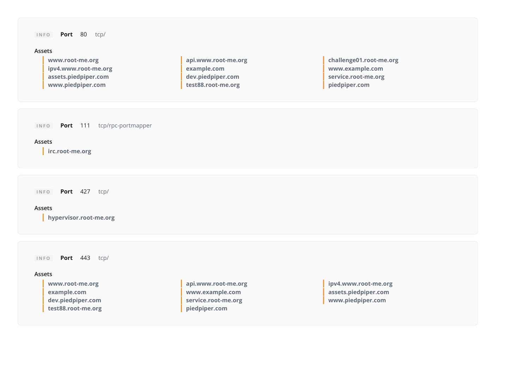**I N F O Port** 80 tcp/

#### **Assets**

| www.root-me.org      | api.www.root-me.org | challenge01.root-me.org |
|----------------------|---------------------|-------------------------|
| ipv4.www.root-me.org | example.com         | www.example.com         |
| assets.piedpiper.com | dev.piedpiper.com   | service.root-me.org     |
| www.piedpiper.com    | test88.root-me.org  | piedpiper.com           |

**I N F O Port** 111 tcp/rpc-portmapper

#### **Assets**

**irc.root-me.org**

**I N F O Port** 427 tcp/

### **Assets**

**hypervisor.root-me.org**

**I N F O Port** 443 tcp/

# **Assets**

**test88.root-me.org piedpiper.com**

**example.com www.example.com assets.piedpiper.com dev.piedpiper.com service.root-me.org www.piedpiper.com**

**www.root-me.org api.www.root-me.org ipv4.www.root-me.org**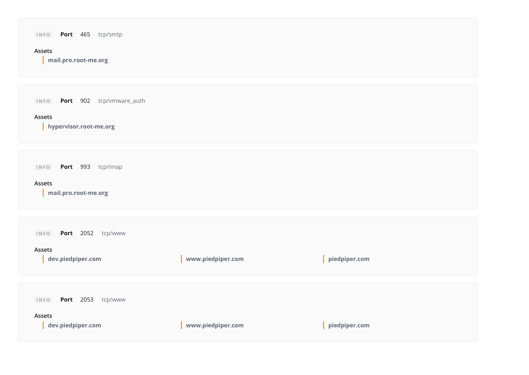| Port 465 tcp/smtp<br>INFO<br>Assets<br>mail.pro.root-me.org          |                   |                    |
|----------------------------------------------------------------------|-------------------|--------------------|
| Port 902 tcp/vmware_auth<br>INFO<br>Assets<br>hypervisor.root-me.org |                   |                    |
| Port 993 tcp/imap<br>INFO<br>Assets<br>mail.pro.root-me.org          |                   |                    |
| Port 2052 tcp/www<br>INFO<br>Assets<br>dev.piedpiper.com             | www.piedpiper.com | piedpiper.com<br>L |
| Port 2053 tcp/www<br>INFO<br>Assets<br>dev.piedpiper.com             | www.piedpiper.com | piedpiper.com      |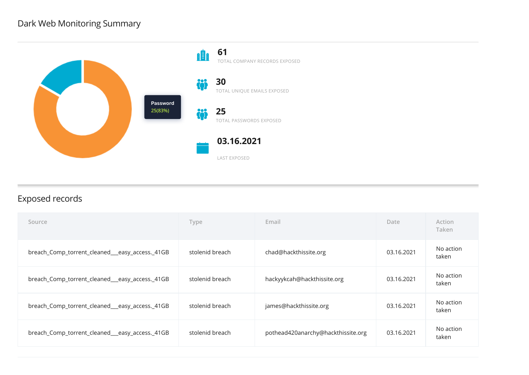# Dark Web Monitoring Summary



# Exposed records

| Source                                         | Type            | Email                              | Date       | Action<br>Taken    |
|------------------------------------------------|-----------------|------------------------------------|------------|--------------------|
| breach_Comp_torrent_cleaned__easy_access._41GB | stolenid breach | chad@hackthissite.org              | 03.16.2021 | No action<br>taken |
| breach_Comp_torrent_cleaned__easy_access._41GB | stolenid breach | hackyykcah@hackthissite.org        | 03.16.2021 | No action<br>taken |
| breach_Comp_torrent_cleaned__easy_access._41GB | stolenid breach | james@hackthissite.org             | 03.16.2021 | No action<br>taken |
| breach_Comp_torrent_cleaned__easy_access._41GB | stolenid breach | pothead420anarchy@hackthissite.org | 03.16.2021 | No action<br>taken |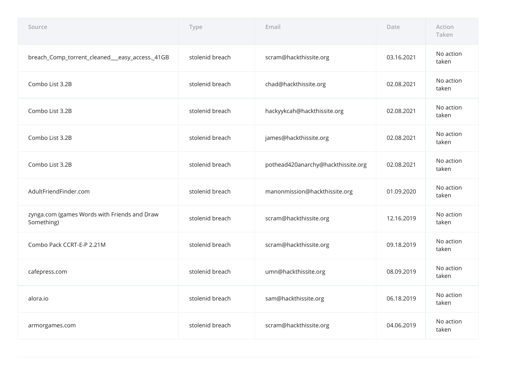| Source                                                     | Type            | Email                              | Date       | Action<br>Taken    |
|------------------------------------------------------------|-----------------|------------------------------------|------------|--------------------|
| breach_Comp_torrent_cleaned__easy_access._41GB             | stolenid breach | scram@hackthissite.org             | 03.16.2021 | No action<br>taken |
| Combo List 3.2B                                            | stolenid breach | chad@hackthissite.org              | 02.08.2021 | No action<br>taken |
| Combo List 3.2B                                            | stolenid breach | hackyykcah@hackthissite.org        | 02.08.2021 | No action<br>taken |
| Combo List 3.2B                                            | stolenid breach | james@hackthissite.org             | 02.08.2021 | No action<br>taken |
| Combo List 3.2B                                            | stolenid breach | pothead420anarchy@hackthissite.org | 02.08.2021 | No action<br>taken |
| AdultFriendFinder.com                                      | stolenid breach | manonmission@hackthissite.org      | 01.09.2020 | No action<br>taken |
| zynga.com (games Words with Friends and Draw<br>Something) | stolenid breach | scram@hackthissite.org             | 12.16.2019 | No action<br>taken |
| Combo Pack CCRT-E-P 2.21M                                  | stolenid breach | scram@hackthissite.org             | 09.18.2019 | No action<br>taken |
| cafepress.com                                              | stolenid breach | umn@hackthissite.org               | 08.09.2019 | No action<br>taken |
| alora.io                                                   | stolenid breach | sam@hackthissite.org               | 06.18.2019 | No action<br>taken |
| armorgames.com                                             | stolenid breach | scram@hackthissite.org             | 04.06.2019 | No action<br>taken |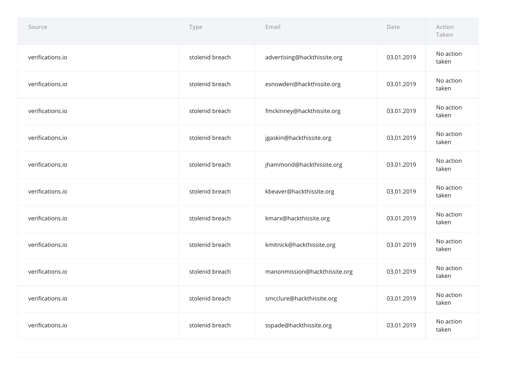| Source           | Type            | Email                         | Date       | Action<br>Taken    |
|------------------|-----------------|-------------------------------|------------|--------------------|
| verifications.io | stolenid breach | advertising@hackthissite.org  | 03.01.2019 | No action<br>taken |
| verifications.io | stolenid breach | esnowden@hackthissite.org     | 03.01.2019 | No action<br>taken |
| verifications.io | stolenid breach | fmckinney@hackthissite.org    | 03.01.2019 | No action<br>taken |
| verifications.io | stolenid breach | jgaskin@hackthissite.org      | 03.01.2019 | No action<br>taken |
| verifications.io | stolenid breach | jhammond@hackthissite.org     | 03.01.2019 | No action<br>taken |
| verifications.io | stolenid breach | kbeaver@hackthissite.org      | 03.01.2019 | No action<br>taken |
| verifications.io | stolenid breach | kmarx@hackthissite.org        | 03.01.2019 | No action<br>taken |
| verifications.io | stolenid breach | kmitnick@hackthissite.org     | 03.01.2019 | No action<br>taken |
| verifications.io | stolenid breach | manonmission@hackthissite.org | 03.01.2019 | No action<br>taken |
| verifications.io | stolenid breach | smcclure@hackthissite.org     | 03.01.2019 | No action<br>taken |
| verifications.io | stolenid breach | sspade@hackthissite.org       | 03.01.2019 | No action<br>taken |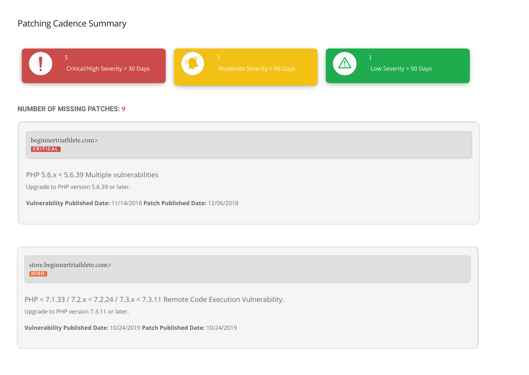# Patching Cadence Summary



# **NUMBER OF MISSING PATCHES: 9**



store.beginnertriathlete.com> **HIGH** 

PHP < 7.1.33 / 7.2.x < 7.2.24 / 7.3.x < 7.3.11 Remote Code Execution Vulnerability.

Upgrade to PHP version 7.3.11 or later.

**Vulnerability Published Date:** 10/24/2019 **Patch Published Date:** 10/24/2019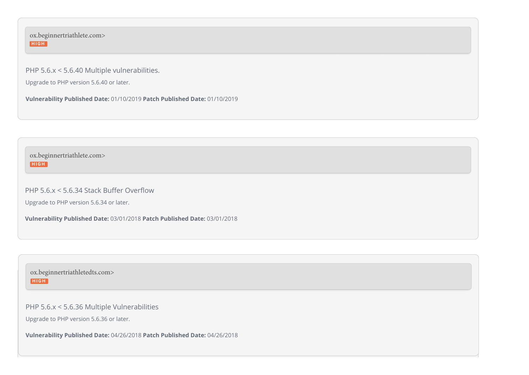ox.beginnertriathlete.com> **HIGH** 

PHP 5.6.x < 5.6.40 Multiple vulnerabilities.

Upgrade to PHP version 5.6.40 or later.

**Vulnerability Published Date:** 01/10/2019 **Patch Published Date:** 01/10/2019

ox.beginnertriathlete.com> **HIGH** 

PHP  $5.6.x \le 5.6.34$  Stack Buffer Overflow

Upgrade to PHP version 5.6.34 or later.

**Vulnerability Published Date:** 03/01/2018 **Patch Published Date:** 03/01/2018

ox.beginnertriathletedts.com> **HIGH** 

PHP 5.6.x < 5.6.36 Multiple Vulnerabilities

Upgrade to PHP version 5.6.36 or later.

**Vulnerability Published Date:** 04/26/2018 **Patch Published Date:** 04/26/2018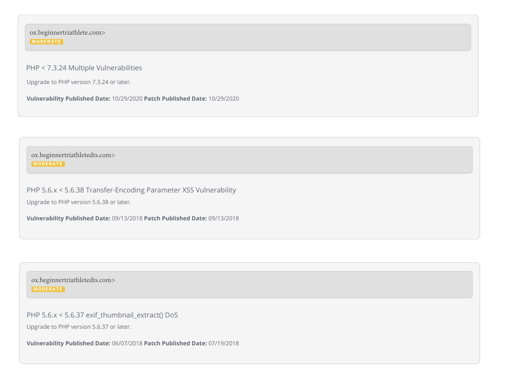ox.beginnertriathlete.com> **M O D E R AT E**

PHP < 7.3.24 Multiple Vulnerabilities

Upgrade to PHP version 7.3.24 or later.

**Vulnerability Published Date:** 10/29/2020 **Patch Published Date:** 10/29/2020

ox.beginnertriathletedts.com> **M O D E R AT E**

PHP 5.6.x < 5.6.38 Transfer-Encoding Parameter XSS Vulnerability Upgrade to PHP version 5.6.38 or later.

**Vulnerability Published Date:** 09/13/2018 **Patch Published Date:** 09/13/2018

ox.beginnertriathletedts.com> **M O D E R AT E**

PHP 5.6.x < 5.6.37 exif thumbnail extract() DoS

Upgrade to PHP version 5.6.37 or later.

**Vulnerability Published Date:** 06/07/2018 **Patch Published Date:** 07/19/2018